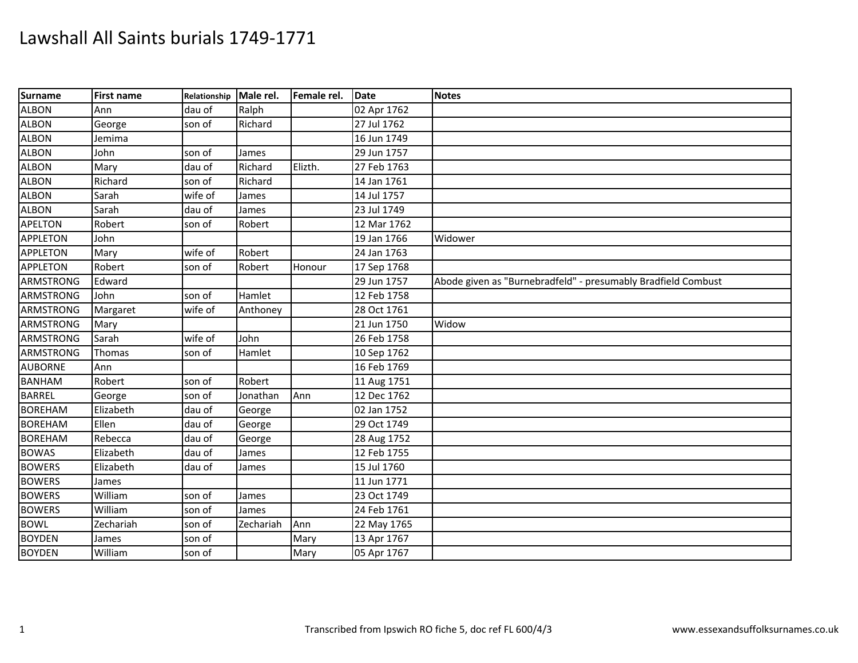| Surname          | <b>First name</b> | Relationship Male rel. |           | Female rel. | <b>Date</b> | <b>Notes</b>                                                  |
|------------------|-------------------|------------------------|-----------|-------------|-------------|---------------------------------------------------------------|
| <b>ALBON</b>     | Ann               | dau of                 | Ralph     |             | 02 Apr 1762 |                                                               |
| <b>ALBON</b>     | George            | son of                 | Richard   |             | 27 Jul 1762 |                                                               |
| <b>ALBON</b>     | Jemima            |                        |           |             | 16 Jun 1749 |                                                               |
| <b>ALBON</b>     | John              | son of                 | James     |             | 29 Jun 1757 |                                                               |
| <b>ALBON</b>     | Mary              | dau of                 | Richard   | Elizth.     | 27 Feb 1763 |                                                               |
| <b>ALBON</b>     | Richard           | son of                 | Richard   |             | 14 Jan 1761 |                                                               |
| <b>ALBON</b>     | Sarah             | wife of                | James     |             | 14 Jul 1757 |                                                               |
| <b>ALBON</b>     | Sarah             | dau of                 | James     |             | 23 Jul 1749 |                                                               |
| <b>APELTON</b>   | Robert            | son of                 | Robert    |             | 12 Mar 1762 |                                                               |
| <b>APPLETON</b>  | John              |                        |           |             | 19 Jan 1766 | Widower                                                       |
| <b>APPLETON</b>  | Mary              | wife of                | Robert    |             | 24 Jan 1763 |                                                               |
| <b>APPLETON</b>  | Robert            | son of                 | Robert    | Honour      | 17 Sep 1768 |                                                               |
| ARMSTRONG        | Edward            |                        |           |             | 29 Jun 1757 | Abode given as "Burnebradfeld" - presumably Bradfield Combust |
| <b>ARMSTRONG</b> | John              | son of                 | Hamlet    |             | 12 Feb 1758 |                                                               |
| ARMSTRONG        | Margaret          | wife of                | Anthoney  |             | 28 Oct 1761 |                                                               |
| <b>ARMSTRONG</b> | Mary              |                        |           |             | 21 Jun 1750 | Widow                                                         |
| ARMSTRONG        | Sarah             | wife of                | John      |             | 26 Feb 1758 |                                                               |
| <b>ARMSTRONG</b> | Thomas            | son of                 | Hamlet    |             | 10 Sep 1762 |                                                               |
| <b>AUBORNE</b>   | Ann               |                        |           |             | 16 Feb 1769 |                                                               |
| <b>BANHAM</b>    | Robert            | son of                 | Robert    |             | 11 Aug 1751 |                                                               |
| <b>BARREL</b>    | George            | son of                 | Jonathan  | Ann         | 12 Dec 1762 |                                                               |
| <b>BOREHAM</b>   | Elizabeth         | dau of                 | George    |             | 02 Jan 1752 |                                                               |
| <b>BOREHAM</b>   | Ellen             | dau of                 | George    |             | 29 Oct 1749 |                                                               |
| <b>BOREHAM</b>   | Rebecca           | dau of                 | George    |             | 28 Aug 1752 |                                                               |
| <b>BOWAS</b>     | Elizabeth         | dau of                 | James     |             | 12 Feb 1755 |                                                               |
| <b>BOWERS</b>    | Elizabeth         | dau of                 | James     |             | 15 Jul 1760 |                                                               |
| <b>BOWERS</b>    | James             |                        |           |             | 11 Jun 1771 |                                                               |
| <b>BOWERS</b>    | William           | son of                 | James     |             | 23 Oct 1749 |                                                               |
| <b>BOWERS</b>    | William           | son of                 | James     |             | 24 Feb 1761 |                                                               |
| <b>BOWL</b>      | Zechariah         | son of                 | Zechariah | Ann         | 22 May 1765 |                                                               |
| <b>BOYDEN</b>    | James             | son of                 |           | Mary        | 13 Apr 1767 |                                                               |
| <b>BOYDEN</b>    | William           | son of                 |           | Mary        | 05 Apr 1767 |                                                               |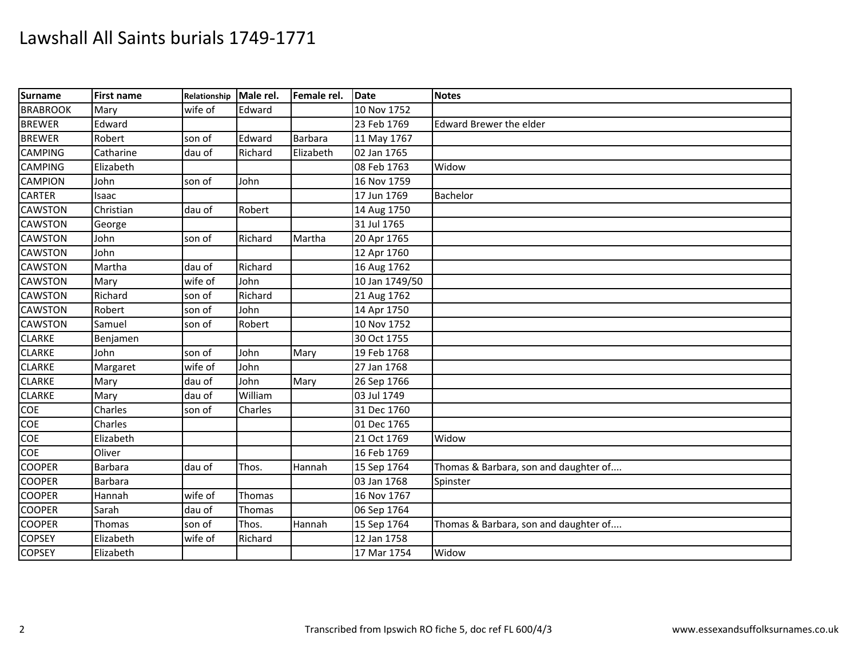| Surname         | <b>First name</b> | <b>Relationship</b> | Male rel. | Female rel. | Date           | <b>Notes</b>                          |
|-----------------|-------------------|---------------------|-----------|-------------|----------------|---------------------------------------|
| <b>BRABROOK</b> | Mary              | wife of             | Edward    |             | 10 Nov 1752    |                                       |
| <b>BREWER</b>   | Edward            |                     |           |             | 23 Feb 1769    | <b>Edward Brewer the elder</b>        |
| <b>BREWER</b>   | Robert            | son of              | Edward    | Barbara     | 11 May 1767    |                                       |
| <b>CAMPING</b>  | Catharine         | dau of              | Richard   | Elizabeth   | 02 Jan 1765    |                                       |
| <b>CAMPING</b>  | Elizabeth         |                     |           |             | 08 Feb 1763    | Widow                                 |
| <b>CAMPION</b>  | John              | son of              | John      |             | 16 Nov 1759    |                                       |
| <b>CARTER</b>   | Isaac             |                     |           |             | 17 Jun 1769    | Bachelor                              |
| <b>CAWSTON</b>  | Christian         | dau of              | Robert    |             | 14 Aug 1750    |                                       |
| <b>CAWSTON</b>  | George            |                     |           |             | 31 Jul 1765    |                                       |
| <b>CAWSTON</b>  | John              | son of              | Richard   | Martha      | 20 Apr 1765    |                                       |
| <b>CAWSTON</b>  | John              |                     |           |             | 12 Apr 1760    |                                       |
| <b>CAWSTON</b>  | Martha            | dau of              | Richard   |             | 16 Aug 1762    |                                       |
| <b>CAWSTON</b>  | Mary              | wife of             | John      |             | 10 Jan 1749/50 |                                       |
| <b>CAWSTON</b>  | Richard           | son of              | Richard   |             | 21 Aug 1762    |                                       |
| <b>CAWSTON</b>  | Robert            | son of              | John      |             | 14 Apr 1750    |                                       |
| <b>CAWSTON</b>  | Samuel            | son of              | Robert    |             | 10 Nov 1752    |                                       |
| <b>CLARKE</b>   | Benjamen          |                     |           |             | 30 Oct 1755    |                                       |
| <b>CLARKE</b>   | John              | son of              | John      | Mary        | 19 Feb 1768    |                                       |
| <b>CLARKE</b>   | Margaret          | wife of             | John      |             | 27 Jan 1768    |                                       |
| <b>CLARKE</b>   | Mary              | dau of              | John      | Mary        | 26 Sep 1766    |                                       |
| <b>CLARKE</b>   | Mary              | dau of              | William   |             | 03 Jul 1749    |                                       |
| COE             | Charles           | son of              | Charles   |             | 31 Dec 1760    |                                       |
| COE             | Charles           |                     |           |             | 01 Dec 1765    |                                       |
| COE             | Elizabeth         |                     |           |             | 21 Oct 1769    | Widow                                 |
| COE             | Oliver            |                     |           |             | 16 Feb 1769    |                                       |
| <b>COOPER</b>   | <b>Barbara</b>    | dau of              | Thos.     | Hannah      | 15 Sep 1764    | Thomas & Barbara, son and daughter of |
| <b>COOPER</b>   | <b>Barbara</b>    |                     |           |             | 03 Jan 1768    | Spinster                              |
| <b>COOPER</b>   | Hannah            | wife of             | Thomas    |             | 16 Nov 1767    |                                       |
| <b>COOPER</b>   | Sarah             | dau of              | Thomas    |             | 06 Sep 1764    |                                       |
| <b>COOPER</b>   | Thomas            | son of              | Thos.     | Hannah      | 15 Sep 1764    | Thomas & Barbara, son and daughter of |
| <b>COPSEY</b>   | Elizabeth         | wife of             | Richard   |             | 12 Jan 1758    |                                       |
| <b>COPSEY</b>   | Elizabeth         |                     |           |             | 17 Mar 1754    | Widow                                 |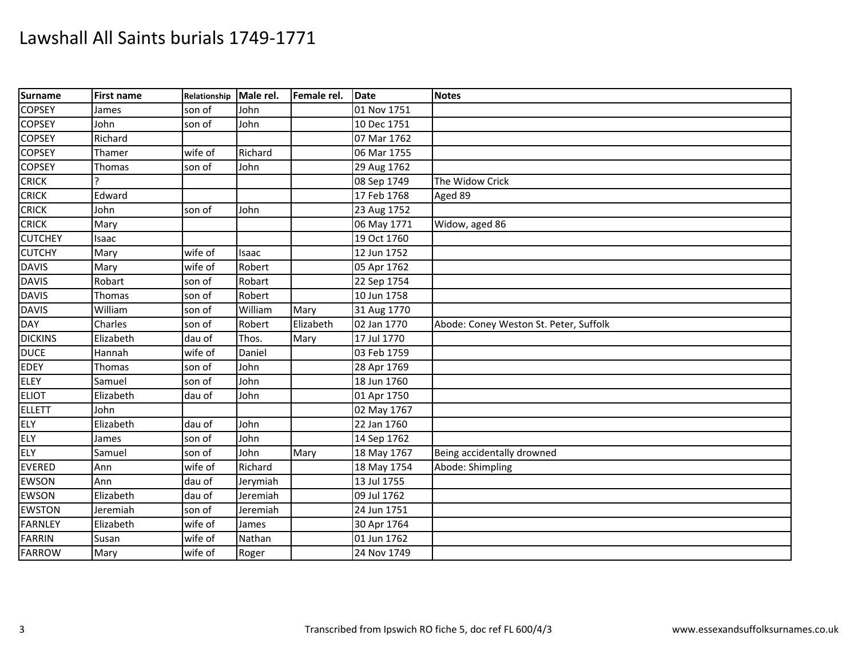| <b>Surname</b> | <b>First name</b> | Relationship | Male rel. | Female rel. | Date        | <b>Notes</b>                           |
|----------------|-------------------|--------------|-----------|-------------|-------------|----------------------------------------|
| <b>COPSEY</b>  | James             | son of       | John      |             | 01 Nov 1751 |                                        |
| <b>COPSEY</b>  | John              | son of       | John      |             | 10 Dec 1751 |                                        |
| <b>COPSEY</b>  | Richard           |              |           |             | 07 Mar 1762 |                                        |
| <b>COPSEY</b>  | Thamer            | wife of      | Richard   |             | 06 Mar 1755 |                                        |
| <b>COPSEY</b>  | Thomas            | son of       | John      |             | 29 Aug 1762 |                                        |
| <b>CRICK</b>   |                   |              |           |             | 08 Sep 1749 | The Widow Crick                        |
| <b>CRICK</b>   | Edward            |              |           |             | 17 Feb 1768 | Aged 89                                |
| <b>CRICK</b>   | John              | son of       | John      |             | 23 Aug 1752 |                                        |
| <b>CRICK</b>   | Mary              |              |           |             | 06 May 1771 | Widow, aged 86                         |
| <b>CUTCHEY</b> | Isaac             |              |           |             | 19 Oct 1760 |                                        |
| <b>CUTCHY</b>  | Mary              | wife of      | Isaac     |             | 12 Jun 1752 |                                        |
| <b>DAVIS</b>   | Mary              | wife of      | Robert    |             | 05 Apr 1762 |                                        |
| <b>DAVIS</b>   | Robart            | son of       | Robart    |             | 22 Sep 1754 |                                        |
| <b>DAVIS</b>   | Thomas            | son of       | Robert    |             | 10 Jun 1758 |                                        |
| <b>DAVIS</b>   | William           | son of       | William   | Mary        | 31 Aug 1770 |                                        |
| <b>DAY</b>     | Charles           | son of       | Robert    | Elizabeth   | 02 Jan 1770 | Abode: Coney Weston St. Peter, Suffolk |
| <b>DICKINS</b> | Elizabeth         | dau of       | Thos.     | Mary        | 17 Jul 1770 |                                        |
| <b>DUCE</b>    | Hannah            | wife of      | Daniel    |             | 03 Feb 1759 |                                        |
| <b>EDEY</b>    | Thomas            | son of       | John      |             | 28 Apr 1769 |                                        |
| <b>ELEY</b>    | Samuel            | son of       | John      |             | 18 Jun 1760 |                                        |
| <b>ELIOT</b>   | Elizabeth         | dau of       | John      |             | 01 Apr 1750 |                                        |
| <b>ELLETT</b>  | John              |              |           |             | 02 May 1767 |                                        |
| <b>ELY</b>     | Elizabeth         | dau of       | John      |             | 22 Jan 1760 |                                        |
| <b>ELY</b>     | James             | son of       | John      |             | 14 Sep 1762 |                                        |
| <b>ELY</b>     | Samuel            | son of       | John      | Mary        | 18 May 1767 | Being accidentally drowned             |
| <b>EVERED</b>  | Ann               | wife of      | Richard   |             | 18 May 1754 | Abode: Shimpling                       |
| <b>EWSON</b>   | Ann               | dau of       | Jerymiah  |             | 13 Jul 1755 |                                        |
| <b>EWSON</b>   | Elizabeth         | dau of       | Jeremiah  |             | 09 Jul 1762 |                                        |
| <b>EWSTON</b>  | Jeremiah          | son of       | Jeremiah  |             | 24 Jun 1751 |                                        |
| <b>FARNLEY</b> | Elizabeth         | wife of      | James     |             | 30 Apr 1764 |                                        |
| <b>FARRIN</b>  | Susan             | wife of      | Nathan    |             | 01 Jun 1762 |                                        |
| <b>FARROW</b>  | Mary              | wife of      | Roger     |             | 24 Nov 1749 |                                        |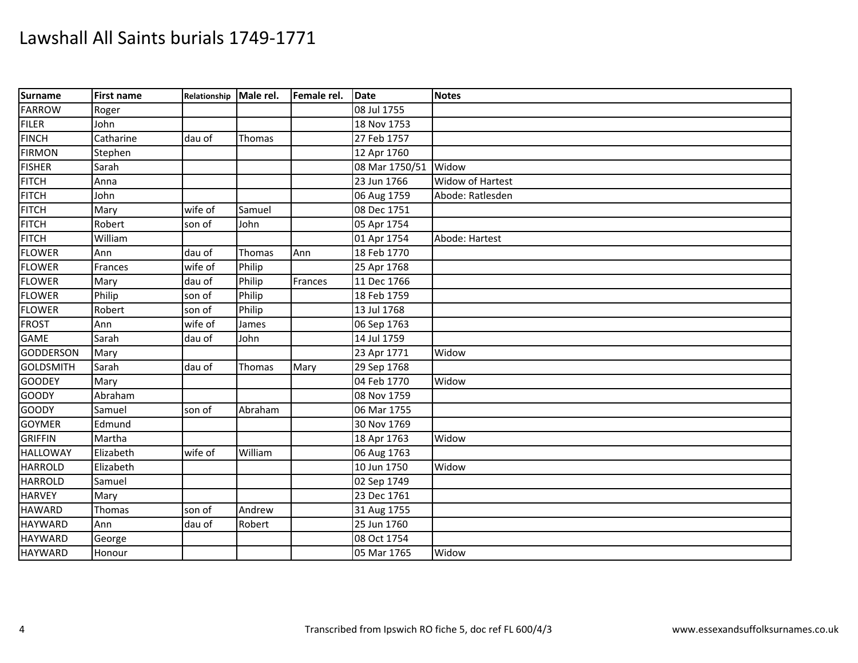| Surname          | First name | Relationship Male rel. |         | Female rel. | <b>Date</b>    | <b>Notes</b>            |
|------------------|------------|------------------------|---------|-------------|----------------|-------------------------|
| <b>FARROW</b>    | Roger      |                        |         |             | 08 Jul 1755    |                         |
| <b>FILER</b>     | John       |                        |         |             | 18 Nov 1753    |                         |
| <b>FINCH</b>     | Catharine  | dau of                 | Thomas  |             | 27 Feb 1757    |                         |
| <b>FIRMON</b>    | Stephen    |                        |         |             | 12 Apr 1760    |                         |
| <b>FISHER</b>    | Sarah      |                        |         |             | 08 Mar 1750/51 | Widow                   |
| <b>FITCH</b>     | Anna       |                        |         |             | 23 Jun 1766    | <b>Widow of Hartest</b> |
| <b>FITCH</b>     | John       |                        |         |             | 06 Aug 1759    | Abode: Ratlesden        |
| <b>FITCH</b>     | Mary       | wife of                | Samuel  |             | 08 Dec 1751    |                         |
| <b>FITCH</b>     | Robert     | son of                 | John    |             | 05 Apr 1754    |                         |
| <b>FITCH</b>     | William    |                        |         |             | 01 Apr 1754    | Abode: Hartest          |
| <b>FLOWER</b>    | Ann        | dau of                 | Thomas  | Ann         | 18 Feb 1770    |                         |
| <b>FLOWER</b>    | Frances    | wife of                | Philip  |             | 25 Apr 1768    |                         |
| <b>FLOWER</b>    | Mary       | dau of                 | Philip  | Frances     | 11 Dec 1766    |                         |
| <b>FLOWER</b>    | Philip     | son of                 | Philip  |             | 18 Feb 1759    |                         |
| <b>FLOWER</b>    | Robert     | son of                 | Philip  |             | 13 Jul 1768    |                         |
| <b>FROST</b>     | Ann        | wife of                | James   |             | 06 Sep 1763    |                         |
| <b>GAME</b>      | Sarah      | dau of                 | John    |             | 14 Jul 1759    |                         |
| GODDERSON        | Mary       |                        |         |             | 23 Apr 1771    | Widow                   |
| <b>GOLDSMITH</b> | Sarah      | dau of                 | Thomas  | Mary        | 29 Sep 1768    |                         |
| <b>GOODEY</b>    | Mary       |                        |         |             | 04 Feb 1770    | Widow                   |
| <b>GOODY</b>     | Abraham    |                        |         |             | 08 Nov 1759    |                         |
| <b>GOODY</b>     | Samuel     | son of                 | Abraham |             | 06 Mar 1755    |                         |
| <b>GOYMER</b>    | Edmund     |                        |         |             | 30 Nov 1769    |                         |
| <b>GRIFFIN</b>   | Martha     |                        |         |             | 18 Apr 1763    | Widow                   |
| <b>HALLOWAY</b>  | Elizabeth  | wife of                | William |             | 06 Aug 1763    |                         |
| <b>HARROLD</b>   | Elizabeth  |                        |         |             | 10 Jun 1750    | Widow                   |
| <b>HARROLD</b>   | Samuel     |                        |         |             | 02 Sep 1749    |                         |
| <b>HARVEY</b>    | Mary       |                        |         |             | 23 Dec 1761    |                         |
| <b>HAWARD</b>    | Thomas     | son of                 | Andrew  |             | 31 Aug 1755    |                         |
| <b>HAYWARD</b>   | Ann        | dau of                 | Robert  |             | 25 Jun 1760    |                         |
| <b>HAYWARD</b>   | George     |                        |         |             | 08 Oct 1754    |                         |
| <b>HAYWARD</b>   | Honour     |                        |         |             | 05 Mar 1765    | Widow                   |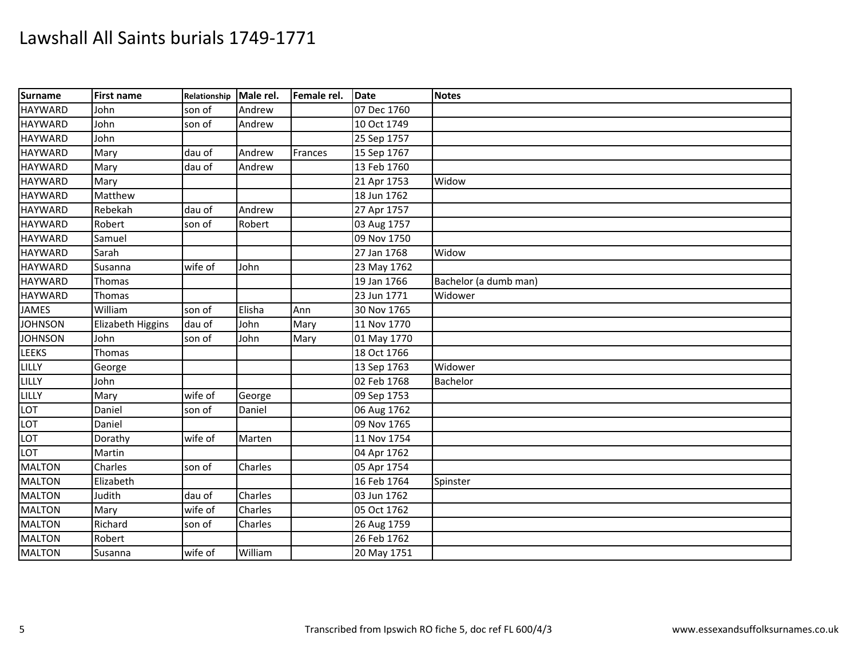| Surname        | <b>First name</b> | Relationship Male rel. |         | Female rel. | Date        | <b>Notes</b>          |
|----------------|-------------------|------------------------|---------|-------------|-------------|-----------------------|
| <b>HAYWARD</b> | John              | son of                 | Andrew  |             | 07 Dec 1760 |                       |
| <b>HAYWARD</b> | John              | son of                 | Andrew  |             | 10 Oct 1749 |                       |
| <b>HAYWARD</b> | John              |                        |         |             | 25 Sep 1757 |                       |
| <b>HAYWARD</b> | Mary              | dau of                 | Andrew  | Frances     | 15 Sep 1767 |                       |
| <b>HAYWARD</b> | Mary              | dau of                 | Andrew  |             | 13 Feb 1760 |                       |
| <b>HAYWARD</b> | Mary              |                        |         |             | 21 Apr 1753 | Widow                 |
| <b>HAYWARD</b> | Matthew           |                        |         |             | 18 Jun 1762 |                       |
| <b>HAYWARD</b> | Rebekah           | dau of                 | Andrew  |             | 27 Apr 1757 |                       |
| <b>HAYWARD</b> | Robert            | son of                 | Robert  |             | 03 Aug 1757 |                       |
| <b>HAYWARD</b> | Samuel            |                        |         |             | 09 Nov 1750 |                       |
| <b>HAYWARD</b> | Sarah             |                        |         |             | 27 Jan 1768 | Widow                 |
| <b>HAYWARD</b> | Susanna           | wife of                | John    |             | 23 May 1762 |                       |
| <b>HAYWARD</b> | Thomas            |                        |         |             | 19 Jan 1766 | Bachelor (a dumb man) |
| <b>HAYWARD</b> | Thomas            |                        |         |             | 23 Jun 1771 | Widower               |
| <b>JAMES</b>   | William           | son of                 | Elisha  | Ann         | 30 Nov 1765 |                       |
| <b>JOHNSON</b> | Elizabeth Higgins | dau of                 | John    | Mary        | 11 Nov 1770 |                       |
| <b>JOHNSON</b> | John              | son of                 | John    | Mary        | 01 May 1770 |                       |
| <b>LEEKS</b>   | Thomas            |                        |         |             | 18 Oct 1766 |                       |
| LILLY          | George            |                        |         |             | 13 Sep 1763 | Widower               |
| <b>LILLY</b>   | John              |                        |         |             | 02 Feb 1768 | Bachelor              |
| LILLY          | Mary              | wife of                | George  |             | 09 Sep 1753 |                       |
| LOT            | Daniel            | son of                 | Daniel  |             | 06 Aug 1762 |                       |
| LOT            | Daniel            |                        |         |             | 09 Nov 1765 |                       |
| LOT            | Dorathy           | wife of                | Marten  |             | 11 Nov 1754 |                       |
| LOT            | Martin            |                        |         |             | 04 Apr 1762 |                       |
| <b>MALTON</b>  | Charles           | son of                 | Charles |             | 05 Apr 1754 |                       |
| <b>MALTON</b>  | Elizabeth         |                        |         |             | 16 Feb 1764 | Spinster              |
| <b>MALTON</b>  | Judith            | dau of                 | Charles |             | 03 Jun 1762 |                       |
| <b>MALTON</b>  | Mary              | wife of                | Charles |             | 05 Oct 1762 |                       |
| <b>MALTON</b>  | Richard           | son of                 | Charles |             | 26 Aug 1759 |                       |
| <b>MALTON</b>  | Robert            |                        |         |             | 26 Feb 1762 |                       |
| <b>MALTON</b>  | Susanna           | wife of                | William |             | 20 May 1751 |                       |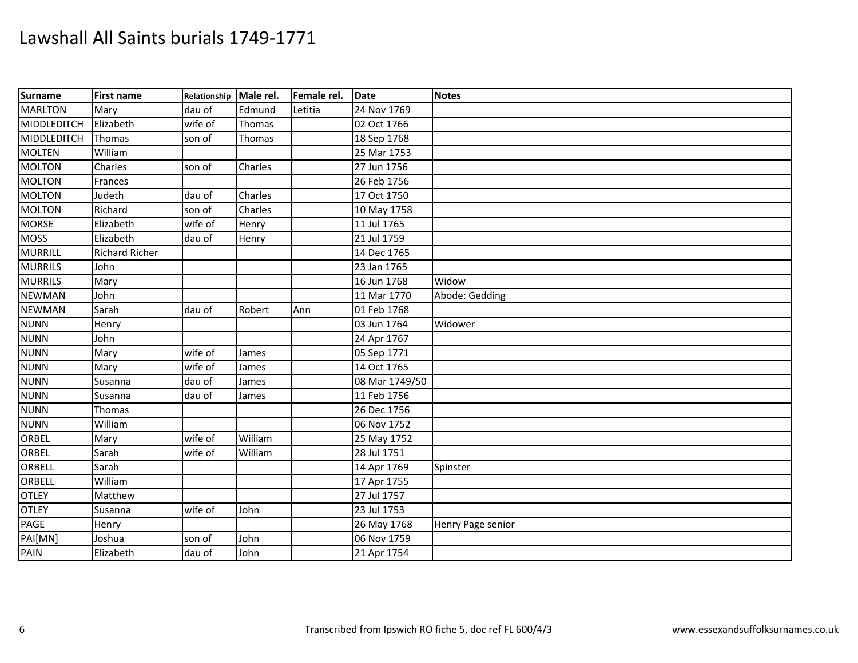| <b>Surname</b> | <b>First name</b>     | Relationship | Male rel. | Female rel. | Date           | <b>Notes</b>      |
|----------------|-----------------------|--------------|-----------|-------------|----------------|-------------------|
| <b>MARLTON</b> | Mary                  | dau of       | Edmund    | Letitia     | 24 Nov 1769    |                   |
| MIDDLEDITCH    | Elizabeth             | wife of      | Thomas    |             | 02 Oct 1766    |                   |
| MIDDLEDITCH    | Thomas                | son of       | Thomas    |             | 18 Sep 1768    |                   |
| <b>MOLTEN</b>  | William               |              |           |             | 25 Mar 1753    |                   |
| <b>MOLTON</b>  | Charles               | son of       | Charles   |             | 27 Jun 1756    |                   |
| <b>MOLTON</b>  | Frances               |              |           |             | 26 Feb 1756    |                   |
| <b>MOLTON</b>  | Judeth                | dau of       | Charles   |             | 17 Oct 1750    |                   |
| <b>MOLTON</b>  | Richard               | son of       | Charles   |             | 10 May 1758    |                   |
| <b>MORSE</b>   | Elizabeth             | wife of      | Henry     |             | 11 Jul 1765    |                   |
| <b>MOSS</b>    | Elizabeth             | dau of       | Henry     |             | 21 Jul 1759    |                   |
| <b>MURRILL</b> | <b>Richard Richer</b> |              |           |             | 14 Dec 1765    |                   |
| <b>MURRILS</b> | John                  |              |           |             | 23 Jan 1765    |                   |
| <b>MURRILS</b> | Mary                  |              |           |             | 16 Jun 1768    | Widow             |
| <b>NEWMAN</b>  | John                  |              |           |             | 11 Mar 1770    | Abode: Gedding    |
| <b>NEWMAN</b>  | Sarah                 | dau of       | Robert    | Ann         | 01 Feb 1768    |                   |
| <b>NUNN</b>    | Henry                 |              |           |             | 03 Jun 1764    | Widower           |
| <b>NUNN</b>    | John                  |              |           |             | 24 Apr 1767    |                   |
| <b>NUNN</b>    | Mary                  | wife of      | James     |             | 05 Sep 1771    |                   |
| <b>NUNN</b>    | Mary                  | wife of      | James     |             | 14 Oct 1765    |                   |
| <b>NUNN</b>    | Susanna               | dau of       | James     |             | 08 Mar 1749/50 |                   |
| <b>NUNN</b>    | Susanna               | dau of       | James     |             | 11 Feb 1756    |                   |
| <b>NUNN</b>    | Thomas                |              |           |             | 26 Dec 1756    |                   |
| <b>NUNN</b>    | William               |              |           |             | 06 Nov 1752    |                   |
| ORBEL          | Mary                  | wife of      | William   |             | 25 May 1752    |                   |
| ORBEL          | Sarah                 | wife of      | William   |             | 28 Jul 1751    |                   |
| <b>ORBELL</b>  | Sarah                 |              |           |             | 14 Apr 1769    | Spinster          |
| <b>ORBELL</b>  | William               |              |           |             | 17 Apr 1755    |                   |
| <b>OTLEY</b>   | Matthew               |              |           |             | 27 Jul 1757    |                   |
| <b>OTLEY</b>   | Susanna               | wife of      | John      |             | 23 Jul 1753    |                   |
| PAGE           | Henry                 |              |           |             | 26 May 1768    | Henry Page senior |
| PAI[MN]        | Joshua                | son of       | John      |             | 06 Nov 1759    |                   |
| <b>PAIN</b>    | Elizabeth             | dau of       | John      |             | 21 Apr 1754    |                   |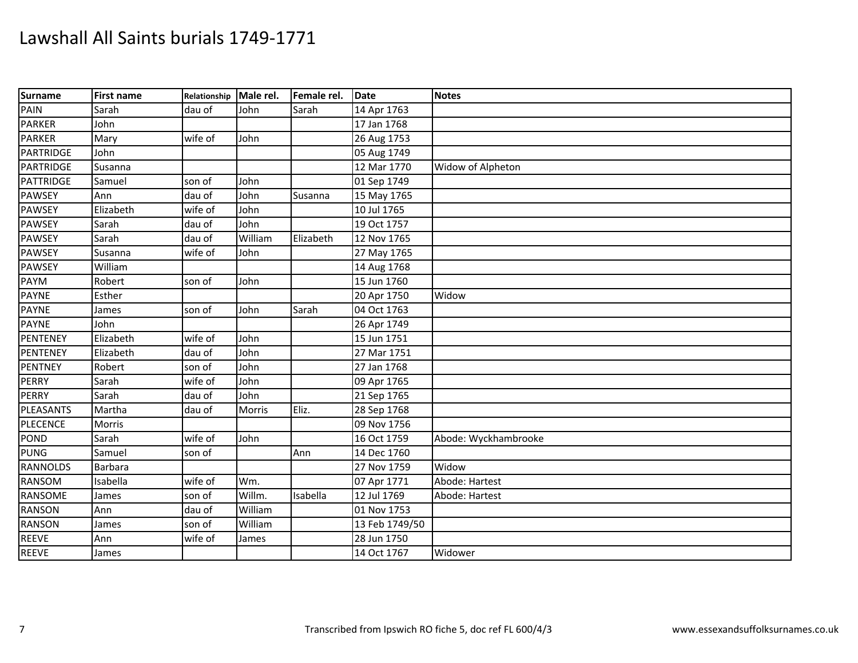| Surname          | First name | Relationship Male rel. |         | Female rel. | Date           | <b>Notes</b>         |
|------------------|------------|------------------------|---------|-------------|----------------|----------------------|
| PAIN             | Sarah      | dau of                 | John    | Sarah       | 14 Apr 1763    |                      |
| <b>PARKER</b>    | John       |                        |         |             | 17 Jan 1768    |                      |
| <b>PARKER</b>    | Mary       | wife of                | John    |             | 26 Aug 1753    |                      |
| <b>PARTRIDGE</b> | John       |                        |         |             | 05 Aug 1749    |                      |
| PARTRIDGE        | Susanna    |                        |         |             | 12 Mar 1770    | Widow of Alpheton    |
| PATTRIDGE        | Samuel     | son of                 | John    |             | 01 Sep 1749    |                      |
| <b>PAWSEY</b>    | Ann        | dau of                 | John    | Susanna     | 15 May 1765    |                      |
| <b>PAWSEY</b>    | Elizabeth  | wife of                | John    |             | 10 Jul 1765    |                      |
| <b>PAWSEY</b>    | Sarah      | dau of                 | John    |             | 19 Oct 1757    |                      |
| <b>PAWSEY</b>    | Sarah      | dau of                 | William | Elizabeth   | 12 Nov 1765    |                      |
| <b>PAWSEY</b>    | Susanna    | wife of                | John    |             | 27 May 1765    |                      |
| <b>PAWSEY</b>    | William    |                        |         |             | 14 Aug 1768    |                      |
| PAYM             | Robert     | son of                 | John    |             | 15 Jun 1760    |                      |
| <b>PAYNE</b>     | Esther     |                        |         |             | 20 Apr 1750    | Widow                |
| <b>PAYNE</b>     | James      | son of                 | John    | Sarah       | 04 Oct 1763    |                      |
| <b>PAYNE</b>     | John       |                        |         |             | 26 Apr 1749    |                      |
| PENTENEY         | Elizabeth  | wife of                | John    |             | 15 Jun 1751    |                      |
| PENTENEY         | Elizabeth  | dau of                 | John    |             | 27 Mar 1751    |                      |
| <b>PENTNEY</b>   | Robert     | son of                 | John    |             | 27 Jan 1768    |                      |
| <b>PERRY</b>     | Sarah      | wife of                | John    |             | 09 Apr 1765    |                      |
| <b>PERRY</b>     | Sarah      | dau of                 | John    |             | 21 Sep 1765    |                      |
| PLEASANTS        | Martha     | dau of                 | Morris  | Eliz.       | 28 Sep 1768    |                      |
| <b>PLECENCE</b>  | Morris     |                        |         |             | 09 Nov 1756    |                      |
| <b>POND</b>      | Sarah      | wife of                | John    |             | 16 Oct 1759    | Abode: Wyckhambrooke |
| <b>PUNG</b>      | Samuel     | son of                 |         | Ann         | 14 Dec 1760    |                      |
| <b>RANNOLDS</b>  | Barbara    |                        |         |             | 27 Nov 1759    | Widow                |
| <b>RANSOM</b>    | Isabella   | wife of                | Wm.     |             | 07 Apr 1771    | Abode: Hartest       |
| RANSOME          | James      | son of                 | Willm.  | Isabella    | 12 Jul 1769    | Abode: Hartest       |
| <b>RANSON</b>    | Ann        | dau of                 | William |             | 01 Nov 1753    |                      |
| <b>RANSON</b>    | James      | son of                 | William |             | 13 Feb 1749/50 |                      |
| <b>REEVE</b>     | Ann        | wife of                | James   |             | 28 Jun 1750    |                      |
| <b>REEVE</b>     | James      |                        |         |             | 14 Oct 1767    | Widower              |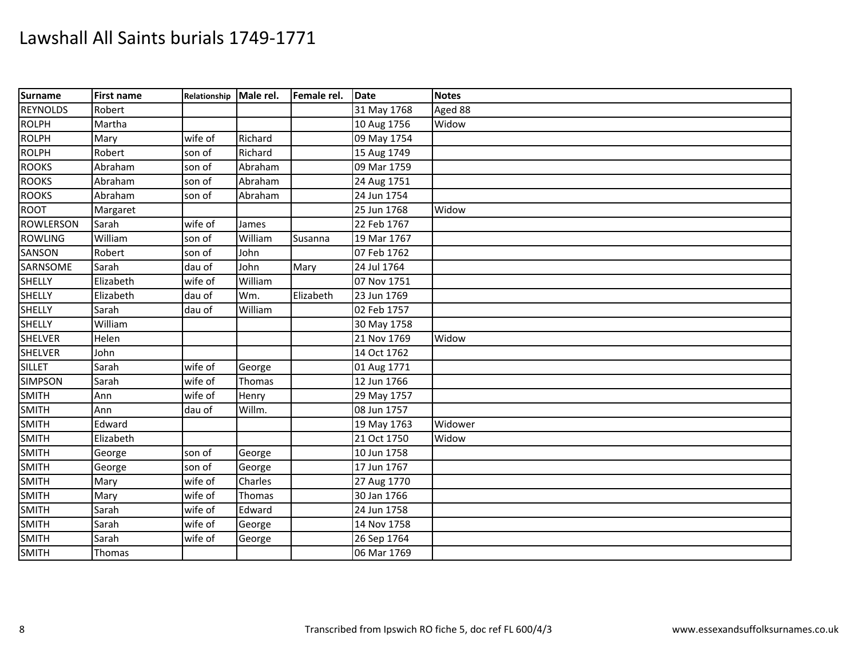| Surname         | <b>First name</b> | Relationship Male rel. |         | Female rel. | Date        | <b>Notes</b> |
|-----------------|-------------------|------------------------|---------|-------------|-------------|--------------|
| <b>REYNOLDS</b> | Robert            |                        |         |             | 31 May 1768 | Aged 88      |
| <b>ROLPH</b>    | Martha            |                        |         |             | 10 Aug 1756 | Widow        |
| <b>ROLPH</b>    | Mary              | wife of                | Richard |             | 09 May 1754 |              |
| <b>ROLPH</b>    | Robert            | son of                 | Richard |             | 15 Aug 1749 |              |
| <b>ROOKS</b>    | Abraham           | son of                 | Abraham |             | 09 Mar 1759 |              |
| <b>ROOKS</b>    | Abraham           | son of                 | Abraham |             | 24 Aug 1751 |              |
| <b>ROOKS</b>    | Abraham           | son of                 | Abraham |             | 24 Jun 1754 |              |
| <b>ROOT</b>     | Margaret          |                        |         |             | 25 Jun 1768 | Widow        |
| ROWLERSON       | Sarah             | wife of                | James   |             | 22 Feb 1767 |              |
| <b>ROWLING</b>  | William           | son of                 | William | Susanna     | 19 Mar 1767 |              |
| SANSON          | Robert            | son of                 | John    |             | 07 Feb 1762 |              |
| SARNSOME        | Sarah             | dau of                 | John    | Mary        | 24 Jul 1764 |              |
| <b>SHELLY</b>   | Elizabeth         | wife of                | William |             | 07 Nov 1751 |              |
| SHELLY          | Elizabeth         | dau of                 | Wm.     | Elizabeth   | 23 Jun 1769 |              |
| SHELLY          | Sarah             | dau of                 | William |             | 02 Feb 1757 |              |
| <b>SHELLY</b>   | William           |                        |         |             | 30 May 1758 |              |
| <b>SHELVER</b>  | Helen             |                        |         |             | 21 Nov 1769 | Widow        |
| <b>SHELVER</b>  | John              |                        |         |             | 14 Oct 1762 |              |
| <b>SILLET</b>   | Sarah             | wife of                | George  |             | 01 Aug 1771 |              |
| <b>SIMPSON</b>  | Sarah             | wife of                | Thomas  |             | 12 Jun 1766 |              |
| <b>SMITH</b>    | Ann               | wife of                | Henry   |             | 29 May 1757 |              |
| <b>SMITH</b>    | Ann               | dau of                 | Willm.  |             | 08 Jun 1757 |              |
| <b>SMITH</b>    | Edward            |                        |         |             | 19 May 1763 | Widower      |
| <b>SMITH</b>    | Elizabeth         |                        |         |             | 21 Oct 1750 | Widow        |
| <b>SMITH</b>    | George            | son of                 | George  |             | 10 Jun 1758 |              |
| <b>SMITH</b>    | George            | son of                 | George  |             | 17 Jun 1767 |              |
| <b>SMITH</b>    | Mary              | wife of                | Charles |             | 27 Aug 1770 |              |
| <b>SMITH</b>    | Mary              | wife of                | Thomas  |             | 30 Jan 1766 |              |
| <b>SMITH</b>    | Sarah             | wife of                | Edward  |             | 24 Jun 1758 |              |
| <b>SMITH</b>    | Sarah             | wife of                | George  |             | 14 Nov 1758 |              |
| <b>SMITH</b>    | Sarah             | wife of                | George  |             | 26 Sep 1764 |              |
| <b>SMITH</b>    | Thomas            |                        |         |             | 06 Mar 1769 |              |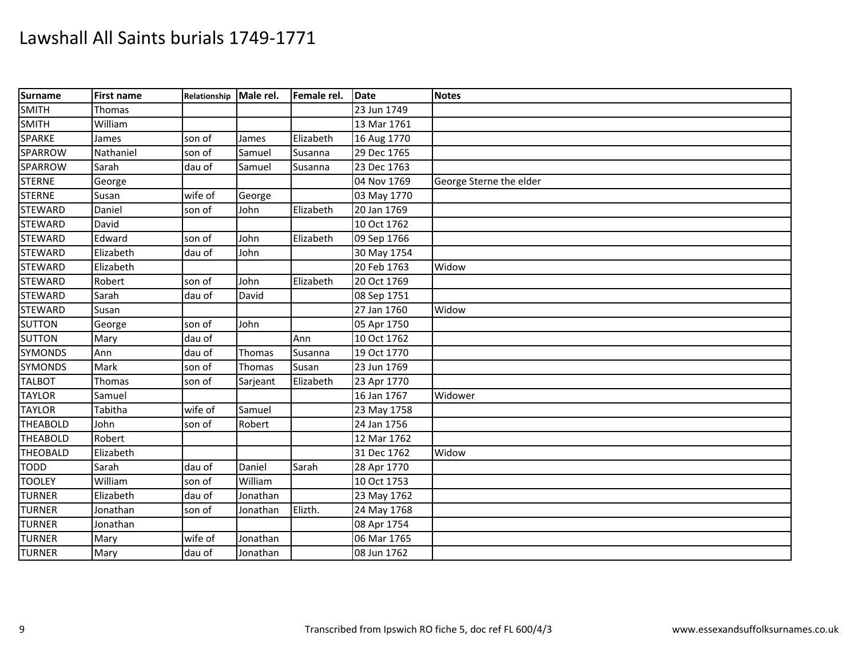| Surname         | <b>First name</b> | Relationship Male rel. |          | Female rel. | <b>Date</b> | <b>Notes</b>            |
|-----------------|-------------------|------------------------|----------|-------------|-------------|-------------------------|
| <b>SMITH</b>    | Thomas            |                        |          |             | 23 Jun 1749 |                         |
| <b>SMITH</b>    | William           |                        |          |             | 13 Mar 1761 |                         |
| <b>SPARKE</b>   | James             | son of                 | James    | Elizabeth   | 16 Aug 1770 |                         |
| SPARROW         | Nathaniel         | son of                 | Samuel   | Susanna     | 29 Dec 1765 |                         |
| SPARROW         | Sarah             | dau of                 | Samuel   | Susanna     | 23 Dec 1763 |                         |
| <b>STERNE</b>   | George            |                        |          |             | 04 Nov 1769 | George Sterne the elder |
| <b>STERNE</b>   | Susan             | wife of                | George   |             | 03 May 1770 |                         |
| <b>STEWARD</b>  | Daniel            | son of                 | John     | Elizabeth   | 20 Jan 1769 |                         |
| <b>STEWARD</b>  | David             |                        |          |             | 10 Oct 1762 |                         |
| <b>STEWARD</b>  | Edward            | son of                 | John     | Elizabeth   | 09 Sep 1766 |                         |
| <b>STEWARD</b>  | Elizabeth         | dau of                 | John     |             | 30 May 1754 |                         |
| <b>STEWARD</b>  | Elizabeth         |                        |          |             | 20 Feb 1763 | Widow                   |
| <b>STEWARD</b>  | Robert            | son of                 | John     | Elizabeth   | 20 Oct 1769 |                         |
| <b>STEWARD</b>  | Sarah             | dau of                 | David    |             | 08 Sep 1751 |                         |
| <b>STEWARD</b>  | Susan             |                        |          |             | 27 Jan 1760 | Widow                   |
| <b>SUTTON</b>   | George            | son of                 | John     |             | 05 Apr 1750 |                         |
| <b>SUTTON</b>   | Mary              | dau of                 |          | Ann         | 10 Oct 1762 |                         |
| <b>SYMONDS</b>  | Ann               | dau of                 | Thomas   | Susanna     | 19 Oct 1770 |                         |
| <b>SYMONDS</b>  | Mark              | son of                 | Thomas   | Susan       | 23 Jun 1769 |                         |
| <b>TALBOT</b>   | Thomas            | son of                 | Sarjeant | Elizabeth   | 23 Apr 1770 |                         |
| <b>TAYLOR</b>   | Samuel            |                        |          |             | 16 Jan 1767 | Widower                 |
| <b>TAYLOR</b>   | Tabitha           | wife of                | Samuel   |             | 23 May 1758 |                         |
| <b>THEABOLD</b> | John              | son of                 | Robert   |             | 24 Jan 1756 |                         |
| <b>THEABOLD</b> | Robert            |                        |          |             | 12 Mar 1762 |                         |
| <b>THEOBALD</b> | Elizabeth         |                        |          |             | 31 Dec 1762 | Widow                   |
| <b>TODD</b>     | Sarah             | dau of                 | Daniel   | Sarah       | 28 Apr 1770 |                         |
| <b>TOOLEY</b>   | William           | son of                 | William  |             | 10 Oct 1753 |                         |
| <b>TURNER</b>   | Elizabeth         | dau of                 | Jonathan |             | 23 May 1762 |                         |
| <b>TURNER</b>   | Jonathan          | son of                 | Jonathan | Elizth.     | 24 May 1768 |                         |
| <b>TURNER</b>   | Jonathan          |                        |          |             | 08 Apr 1754 |                         |
| <b>TURNER</b>   | Mary              | wife of                | Jonathan |             | 06 Mar 1765 |                         |
| <b>TURNER</b>   | Mary              | dau of                 | Jonathan |             | 08 Jun 1762 |                         |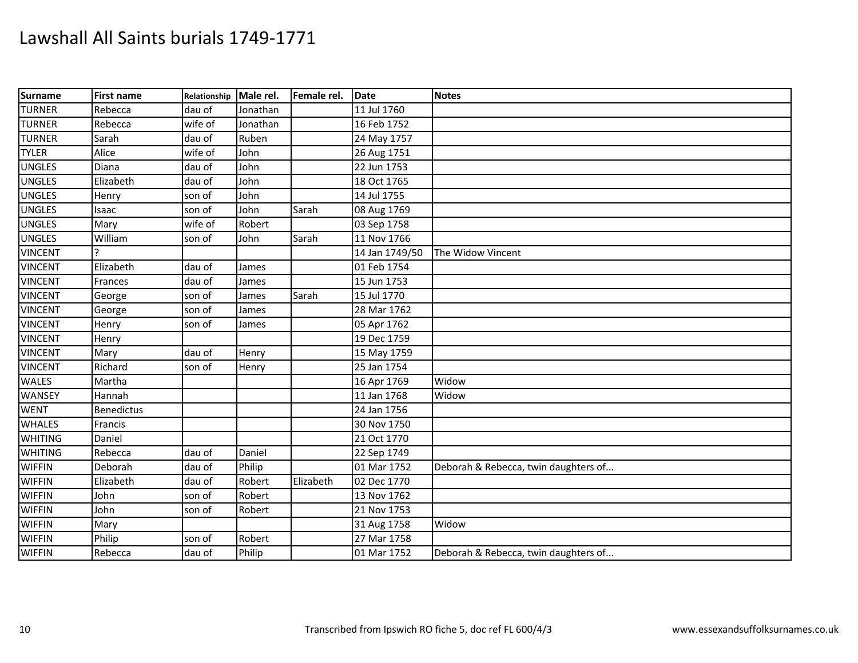| <b>Surname</b> | <b>First name</b> | Relationship | Male rel. | Female rel. | <b>Date</b>    | <b>Notes</b>                         |
|----------------|-------------------|--------------|-----------|-------------|----------------|--------------------------------------|
| <b>TURNER</b>  | Rebecca           | dau of       | Jonathan  |             | 11 Jul 1760    |                                      |
| <b>TURNER</b>  | Rebecca           | wife of      | Jonathan  |             | 16 Feb 1752    |                                      |
| <b>TURNER</b>  | Sarah             | dau of       | Ruben     |             | 24 May 1757    |                                      |
| <b>TYLER</b>   | Alice             | wife of      | John      |             | 26 Aug 1751    |                                      |
| <b>UNGLES</b>  | Diana             | dau of       | John      |             | 22 Jun 1753    |                                      |
| <b>UNGLES</b>  | Elizabeth         | dau of       | John      |             | 18 Oct 1765    |                                      |
| <b>UNGLES</b>  | Henry             | son of       | John      |             | 14 Jul 1755    |                                      |
| <b>UNGLES</b>  | Isaac             | son of       | John      | Sarah       | 08 Aug 1769    |                                      |
| <b>UNGLES</b>  | Mary              | wife of      | Robert    |             | 03 Sep 1758    |                                      |
| <b>UNGLES</b>  | William           | son of       | John      | Sarah       | 11 Nov 1766    |                                      |
| <b>VINCENT</b> |                   |              |           |             | 14 Jan 1749/50 | The Widow Vincent                    |
| <b>VINCENT</b> | Elizabeth         | dau of       | James     |             | 01 Feb 1754    |                                      |
| <b>VINCENT</b> | Frances           | dau of       | James     |             | 15 Jun 1753    |                                      |
| <b>VINCENT</b> | George            | son of       | James     | Sarah       | 15 Jul 1770    |                                      |
| <b>VINCENT</b> | George            | son of       | James     |             | 28 Mar 1762    |                                      |
| <b>VINCENT</b> | Henry             | son of       | James     |             | 05 Apr 1762    |                                      |
| <b>VINCENT</b> | Henry             |              |           |             | 19 Dec 1759    |                                      |
| <b>VINCENT</b> | Mary              | dau of       | Henry     |             | 15 May 1759    |                                      |
| <b>VINCENT</b> | Richard           | son of       | Henry     |             | 25 Jan 1754    |                                      |
| <b>WALES</b>   | Martha            |              |           |             | 16 Apr 1769    | Widow                                |
| <b>WANSEY</b>  | Hannah            |              |           |             | 11 Jan 1768    | Widow                                |
| <b>WENT</b>    | <b>Benedictus</b> |              |           |             | 24 Jan 1756    |                                      |
| <b>WHALES</b>  | Francis           |              |           |             | 30 Nov 1750    |                                      |
| <b>WHITING</b> | Daniel            |              |           |             | 21 Oct 1770    |                                      |
| <b>WHITING</b> | Rebecca           | dau of       | Daniel    |             | 22 Sep 1749    |                                      |
| <b>WIFFIN</b>  | Deborah           | dau of       | Philip    |             | 01 Mar 1752    | Deborah & Rebecca, twin daughters of |
| <b>WIFFIN</b>  | Elizabeth         | dau of       | Robert    | Elizabeth   | 02 Dec 1770    |                                      |
| <b>WIFFIN</b>  | John              | son of       | Robert    |             | 13 Nov 1762    |                                      |
| <b>WIFFIN</b>  | John              | son of       | Robert    |             | 21 Nov 1753    |                                      |
| <b>WIFFIN</b>  | Mary              |              |           |             | 31 Aug 1758    | Widow                                |
| <b>WIFFIN</b>  | Philip            | son of       | Robert    |             | 27 Mar 1758    |                                      |
| <b>WIFFIN</b>  | Rebecca           | dau of       | Philip    |             | 01 Mar 1752    | Deborah & Rebecca, twin daughters of |